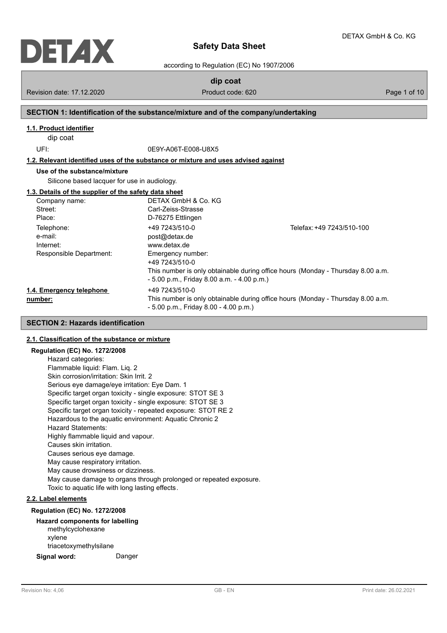

## **Safety Data Sheet**

according to Regulation (EC) No 1907/2006

**dip coat**

Revision date: 17.12.2020 **Product code: 620** Page 1 of 10

#### **SECTION 1: Identification of the substance/mixture and of the company/undertaking**

#### **1.1. Product identifier**

dip coat

UFI: 0E9Y-A06T-E008-U8X5

**1.2. Relevant identified uses of the substance or mixture and uses advised against**

## **Use of the substance/mixture**

Silicone based lacquer for use in audiology.

#### **1.3. Details of the supplier of the safety data sheet**

| Company name:            | DETAX GmbH & Co. KG                          |                                                                                 |
|--------------------------|----------------------------------------------|---------------------------------------------------------------------------------|
| Street:                  | Carl-Zeiss-Strasse                           |                                                                                 |
| Place:                   | D-76275 Ettlingen                            |                                                                                 |
| Telephone:               | +49 7243/510-0                               | Telefax: +49 7243/510-100                                                       |
| e-mail:                  | post@detax.de                                |                                                                                 |
| Internet:                | www.detax.de                                 |                                                                                 |
| Responsible Department:  | Emergency number:<br>+49 7243/510-0          |                                                                                 |
|                          | $-5.00$ p.m., Friday 8.00 a.m. $-4.00$ p.m.) | This number is only obtainable during office hours (Monday - Thursday 8.00 a.m. |
| 1.4. Emergency telephone | +49 7243/510-0                               |                                                                                 |
| number:                  | $-5.00$ p.m., Friday 8.00 $-4.00$ p.m.)      | This number is only obtainable during office hours (Monday - Thursday 8.00 a.m. |

### **SECTION 2: Hazards identification**

#### **2.1. Classification of the substance or mixture**

#### **Regulation (EC) No. 1272/2008**

Hazard categories: Flammable liquid: Flam. Liq. 2 Skin corrosion/irritation: Skin Irrit. 2 Serious eye damage/eye irritation: Eye Dam. 1 Specific target organ toxicity - single exposure: STOT SE 3 Specific target organ toxicity - single exposure: STOT SE 3 Specific target organ toxicity - repeated exposure: STOT RE 2 Hazardous to the aquatic environment: Aquatic Chronic 2 Hazard Statements: Highly flammable liquid and vapour. Causes skin irritation. Causes serious eye damage. May cause respiratory irritation. May cause drowsiness or dizziness. May cause damage to organs through prolonged or repeated exposure. Toxic to aquatic life with long lasting effects.

#### **2.2. Label elements**

#### **Regulation (EC) No. 1272/2008**

#### **Hazard components for labelling** methylcyclohexane

xylene triacetoxymethylsilane

**Signal word:** Danger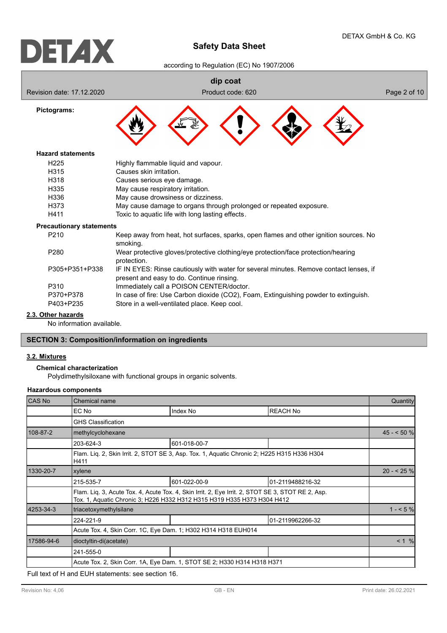## **Safety Data Sheet**

according to Regulation (EC) No 1907/2006



**2.3. Other hazards**

No information available.

#### **SECTION 3: Composition/information on ingredients**

#### **3.2. Mixtures**

**Chemical characterization**

Polydimethylsiloxane with functional groups in organic solvents.

#### **Hazardous components**

| <b>CAS No</b> | Chemical name                                                                                       |                                                                                                                                                                              |                  | Quantity   |  |
|---------------|-----------------------------------------------------------------------------------------------------|------------------------------------------------------------------------------------------------------------------------------------------------------------------------------|------------------|------------|--|
|               | EC No                                                                                               | Index No                                                                                                                                                                     | <b>REACH No</b>  |            |  |
|               | <b>GHS Classification</b>                                                                           |                                                                                                                                                                              |                  |            |  |
| 108-87-2      | methylcyclohexane                                                                                   |                                                                                                                                                                              |                  | $45 - 50%$ |  |
|               | 203-624-3                                                                                           | 601-018-00-7                                                                                                                                                                 |                  |            |  |
|               | Flam. Liq. 2, Skin Irrit. 2, STOT SE 3, Asp. Tox. 1, Aquatic Chronic 2; H225 H315 H336 H304<br>H411 |                                                                                                                                                                              |                  |            |  |
| 1330-20-7     | xylene                                                                                              |                                                                                                                                                                              |                  |            |  |
|               | 215-535-7                                                                                           | 601-022-00-9                                                                                                                                                                 | 01-2119488216-32 |            |  |
|               |                                                                                                     | Flam. Liq. 3, Acute Tox. 4, Acute Tox. 4, Skin Irrit. 2, Eye Irrit. 2, STOT SE 3, STOT RE 2, Asp.<br>Tox. 1, Aquatic Chronic 3; H226 H332 H312 H315 H319 H335 H373 H304 H412 |                  |            |  |
| 4253-34-3     | triacetoxymethylsilane                                                                              |                                                                                                                                                                              |                  | $1 - 5\%$  |  |
|               | 224-221-9                                                                                           |                                                                                                                                                                              | 01-2119962266-32 |            |  |
|               | Acute Tox. 4, Skin Corr. 1C, Eye Dam. 1; H302 H314 H318 EUH014                                      |                                                                                                                                                                              |                  |            |  |
| 17586-94-6    | dioctyltin-di(acetate)                                                                              |                                                                                                                                                                              |                  | < 1 %      |  |
|               | 241-555-0                                                                                           |                                                                                                                                                                              |                  |            |  |
|               |                                                                                                     | Acute Tox. 2, Skin Corr. 1A, Eye Dam. 1, STOT SE 2; H330 H314 H318 H371                                                                                                      |                  |            |  |

Full text of H and EUH statements: see section 16.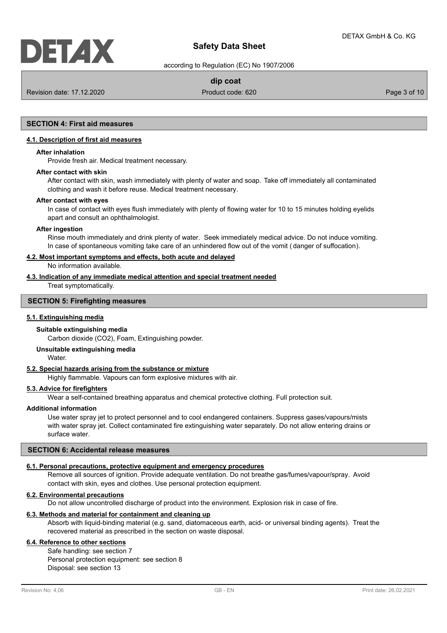## **Safety Data Sheet**

according to Regulation (EC) No 1907/2006

### **dip coat**

Revision date: 17.12.2020 **Product code: 620** Product code: 620 **Page 3 of 10** Page 3 of 10

## **SECTION 4: First aid measures**

#### **4.1. Description of first aid measures**

#### **After inhalation**

Provide fresh air. Medical treatment necessary.

#### **After contact with skin**

After contact with skin, wash immediately with plenty of water and soap. Take off immediately all contaminated clothing and wash it before reuse. Medical treatment necessary.

#### **After contact with eyes**

In case of contact with eyes flush immediately with plenty of flowing water for 10 to 15 minutes holding eyelids apart and consult an ophthalmologist.

#### **After ingestion**

Rinse mouth immediately and drink plenty of water. Seek immediately medical advice. Do not induce vomiting. In case of spontaneous vomiting take care of an unhindered flow out of the vomit ( danger of suffocation).

#### **4.2. Most important symptoms and effects, both acute and delayed**

No information available.

#### **4.3. Indication of any immediate medical attention and special treatment needed**

Treat symptomatically.

#### **SECTION 5: Firefighting measures**

#### **5.1. Extinguishing media**

#### **Suitable extinguishing media**

Carbon dioxide (CO2), Foam, Extinguishing powder.

#### **Unsuitable extinguishing media**

Water.

#### **5.2. Special hazards arising from the substance or mixture**

Highly flammable. Vapours can form explosive mixtures with air.

#### **5.3. Advice for firefighters**

Wear a self-contained breathing apparatus and chemical protective clothing. Full protection suit.

#### **Additional information**

Use water spray jet to protect personnel and to cool endangered containers. Suppress gases/vapours/mists with water spray jet. Collect contaminated fire extinguishing water separately. Do not allow entering drains or surface water.

#### **SECTION 6: Accidental release measures**

#### **6.1. Personal precautions, protective equipment and emergency procedures**

Remove all sources of ignition. Provide adequate ventilation. Do not breathe gas/fumes/vapour/spray. Avoid contact with skin, eyes and clothes. Use personal protection equipment.

#### **6.2. Environmental precautions**

Do not allow uncontrolled discharge of product into the environment. Explosion risk in case of fire.

#### **6.3. Methods and material for containment and cleaning up**

Absorb with liquid-binding material (e.g. sand, diatomaceous earth, acid- or universal binding agents). Treat the recovered material as prescribed in the section on waste disposal.

#### **6.4. Reference to other sections**

Safe handling: see section 7 Personal protection equipment: see section 8 Disposal: see section 13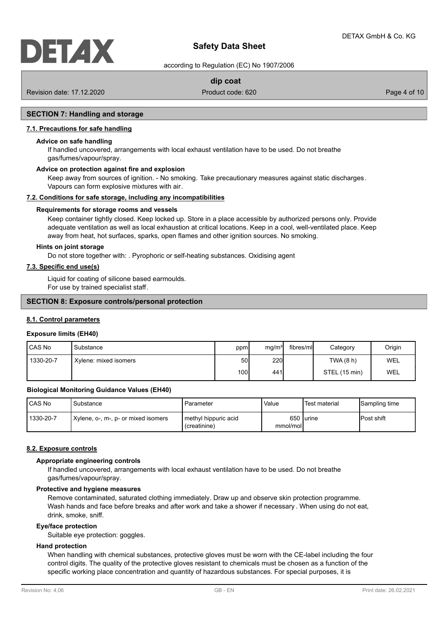# DETZIX

## **Safety Data Sheet**

according to Regulation (EC) No 1907/2006

### **dip coat**

Revision date: 17.12.2020 **Product code: 620** Product code: 620 **Page 4 of 10** Page 4 of 10

#### **SECTION 7: Handling and storage**

#### **7.1. Precautions for safe handling**

#### **Advice on safe handling**

If handled uncovered, arrangements with local exhaust ventilation have to be used. Do not breathe gas/fumes/vapour/spray.

#### **Advice on protection against fire and explosion**

Keep away from sources of ignition. - No smoking. Take precautionary measures against static discharges. Vapours can form explosive mixtures with air.

#### **7.2. Conditions for safe storage, including any incompatibilities**

#### **Requirements for storage rooms and vessels**

Keep container tightly closed. Keep locked up. Store in a place accessible by authorized persons only. Provide adequate ventilation as well as local exhaustion at critical locations. Keep in a cool, well-ventilated place. Keep away from heat, hot surfaces, sparks, open flames and other ignition sources. No smoking.

#### **Hints on joint storage**

Do not store together with: . Pyrophoric or self-heating substances. Oxidising agent

## **7.3. Specific end use(s)**

Liquid for coating of silicone based earmoulds. For use by trained specialist staff.

#### **SECTION 8: Exposure controls/personal protection**

#### **8.1. Control parameters**

## **Exposure limits (EH40)**

| CAS No    | Substance             | ppm  | mg/m <sup>3</sup> | fibres/mll | Category      | Origin |
|-----------|-----------------------|------|-------------------|------------|---------------|--------|
| 1330-20-7 | Xylene: mixed isomers | 50   | 220               |            | TWA(8 h)      | WEL    |
|           |                       | 100l | 441               |            | STEL (15 min) | WEL    |

#### **Biological Monitoring Guidance Values (EH40)**

| CAS No    | Substance                           | Parameter                            | Value    | 'Test material | Sampling time |
|-----------|-------------------------------------|--------------------------------------|----------|----------------|---------------|
| 1330-20-7 | Xylene, o-, m-, p- or mixed isomers | methyl hippuric acid<br>(creatinine) | mmol/mol | 650 lurine     | IPost shift   |

#### **8.2. Exposure controls**

#### **Appropriate engineering controls**

If handled uncovered, arrangements with local exhaust ventilation have to be used. Do not breathe gas/fumes/vapour/spray.

#### **Protective and hygiene measures**

Remove contaminated, saturated clothing immediately. Draw up and observe skin protection programme. Wash hands and face before breaks and after work and take a shower if necessary . When using do not eat, drink, smoke, sniff.

#### **Eye/face protection**

Suitable eye protection: goggles.

#### **Hand protection**

When handling with chemical substances, protective gloves must be worn with the CE-label including the four control digits. The quality of the protective gloves resistant to chemicals must be chosen as a function of the specific working place concentration and quantity of hazardous substances. For special purposes, it is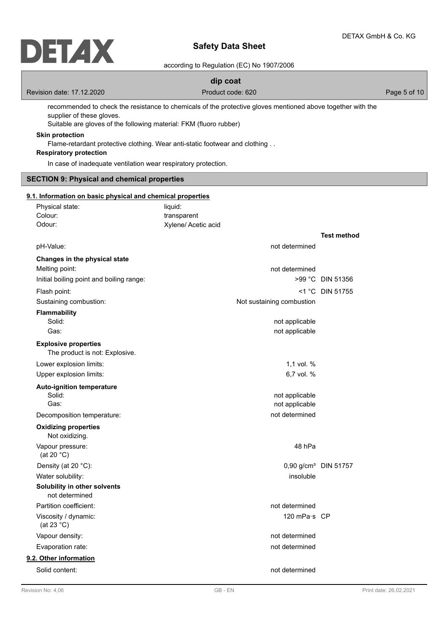## **Safety Data Sheet**

#### according to Regulation (EC) No 1907/2006

### **dip coat**

Revision date: 17.12.2020 **Product code: 620** Product code: 620 **Page 5 of 10** Page 5 of 10

recommended to check the resistance to chemicals of the protective gloves mentioned above together with the supplier of these gloves.

Suitable are gloves of the following material: FKM (fluoro rubber)

#### **Skin protection**

Flame-retardant protective clothing. Wear anti-static footwear and clothing . .

#### **Respiratory protection**

In case of inadequate ventilation wear respiratory protection.

### **SECTION 9: Physical and chemical properties**

#### Physical state: liquid: **9.1. Information on basic physical and chemical properties**

| Priysical state.                               | liquiu.                   |                                  |
|------------------------------------------------|---------------------------|----------------------------------|
| Colour:                                        | transparent               |                                  |
| Odour:                                         | Xylene/ Acetic acid       |                                  |
|                                                |                           | <b>Test method</b>               |
| pH-Value:                                      | not determined            |                                  |
| Changes in the physical state                  |                           |                                  |
| Melting point:                                 | not determined            |                                  |
| Initial boiling point and boiling range:       |                           | >99 °C DIN 51356                 |
| Flash point:                                   |                           | $<$ 1 °C DIN 51755               |
| Sustaining combustion:                         | Not sustaining combustion |                                  |
| <b>Flammability</b>                            |                           |                                  |
| Solid:                                         | not applicable            |                                  |
| Gas:                                           | not applicable            |                                  |
| <b>Explosive properties</b>                    |                           |                                  |
| The product is not: Explosive.                 |                           |                                  |
| Lower explosion limits:                        | 1.1 vol. $%$              |                                  |
| Upper explosion limits:                        | 6,7 vol. %                |                                  |
| <b>Auto-ignition temperature</b>               |                           |                                  |
| Solid:                                         | not applicable            |                                  |
| Gas:                                           | not applicable            |                                  |
| Decomposition temperature:                     | not determined            |                                  |
| <b>Oxidizing properties</b><br>Not oxidizing.  |                           |                                  |
| Vapour pressure:<br>(at 20 $°C$ )              | 48 hPa                    |                                  |
| Density (at 20 °C):                            |                           | 0,90 g/cm <sup>3</sup> DIN 51757 |
| Water solubility:                              | insoluble                 |                                  |
| Solubility in other solvents<br>not determined |                           |                                  |
| Partition coefficient:                         | not determined            |                                  |
| Viscosity / dynamic:<br>(at 23 $^{\circ}$ C)   | 120 mPa·s CP              |                                  |
| Vapour density:                                | not determined            |                                  |
| Evaporation rate:                              | not determined            |                                  |
| 9.2. Other information                         |                           |                                  |
| Solid content:                                 | not determined            |                                  |
|                                                |                           |                                  |
|                                                |                           |                                  |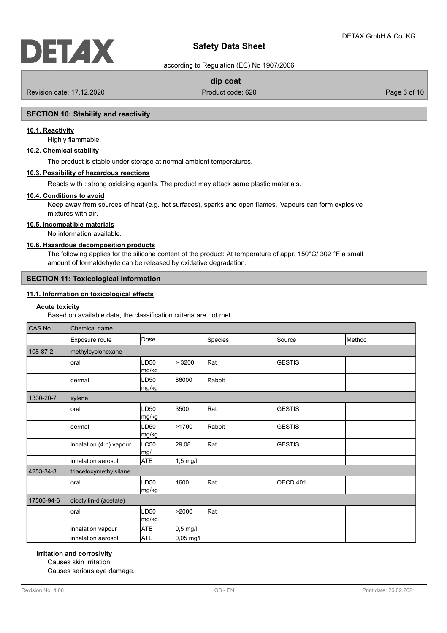## **Safety Data Sheet**

according to Regulation (EC) No 1907/2006

#### **dip coat**

Revision date: 17.12.2020 **Product code: 620** Product code: 620 **Page 6 of 10** Page 6 of 10

#### **SECTION 10: Stability and reactivity**

#### **10.1. Reactivity**

Highly flammable.

#### **10.2. Chemical stability**

The product is stable under storage at normal ambient temperatures.

#### **10.3. Possibility of hazardous reactions**

Reacts with : strong oxidising agents. The product may attack same plastic materials.

#### **10.4. Conditions to avoid**

Keep away from sources of heat (e.g. hot surfaces), sparks and open flames. Vapours can form explosive mixtures with air.

#### **10.5. Incompatible materials**

No information available.

#### **10.6. Hazardous decomposition products**

The following applies for the silicone content of the product: At temperature of appr. 150°C/ 302 °F a small amount of formaldehyde can be released by oxidative degradation.

#### **SECTION 11: Toxicological information**

### **11.1. Information on toxicological effects**

#### **Acute toxicity**

Based on available data, the classification criteria are not met.

| CAS No     | Chemical name           |                     |             |         |                 |        |
|------------|-------------------------|---------------------|-------------|---------|-----------------|--------|
|            | Exposure route          | Dose                |             | Species | Source          | Method |
| 108-87-2   | methylcyclohexane       |                     |             |         |                 |        |
|            | oral                    | LD50<br>mg/kg       | >3200       | Rat     | <b>GESTIS</b>   |        |
|            | dermal                  | LD50<br>mg/kg       | 86000       | Rabbit  |                 |        |
| 1330-20-7  | xylene                  |                     |             |         |                 |        |
|            | oral                    | LD50<br>mg/kg       | 3500        | Rat     | <b>GESTIS</b>   |        |
|            | dermal                  | LD50<br>mg/kg       | >1700       | Rabbit  | <b>GESTIS</b>   |        |
|            | inhalation (4 h) vapour | <b>LC50</b><br>mg/l | 29,08       | Rat     | <b>GESTIS</b>   |        |
|            | inhalation aerosol      | <b>ATE</b>          | $1,5$ mg/l  |         |                 |        |
| 4253-34-3  | triacetoxymethylsilane  |                     |             |         |                 |        |
|            | oral                    | LD50<br>mg/kg       | 1600        | Rat     | <b>OECD 401</b> |        |
| 17586-94-6 | dioctyltin-di(acetate)  |                     |             |         |                 |        |
|            | oral                    | LD50<br>mg/kg       | >2000       | Rat     |                 |        |
|            | inhalation vapour       | <b>ATE</b>          | $0,5$ mg/l  |         |                 |        |
|            | inhalation aerosol      | <b>ATE</b>          | $0,05$ mg/l |         |                 |        |

#### **Irritation and corrosivity**

Causes skin irritation.

Causes serious eye damage.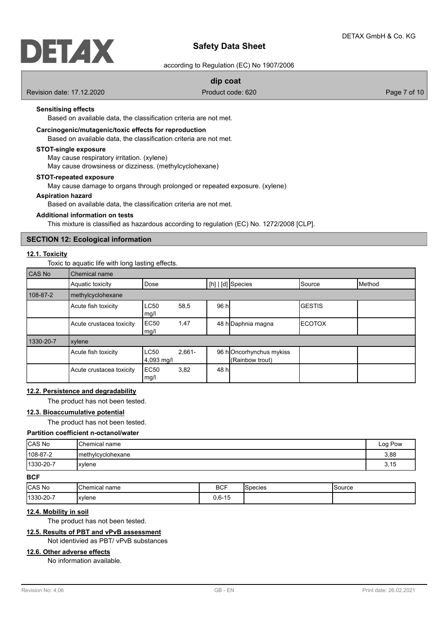## DELAX

## **Safety Data Sheet**

according to Regulation (EC) No 1907/2006

#### **dip coat**

Revision date: 17.12.2020 **Product code: 620** Product code: 620 **Page 7** of 10

#### **Sensitising effects**

Based on available data, the classification criteria are not met.

### **Carcinogenic/mutagenic/toxic effects for reproduction**

Based on available data, the classification criteria are not met.

#### **STOT-single exposure**

May cause respiratory irritation. (xylene)

May cause drowsiness or dizziness. (methylcyclohexane)

#### **STOT-repeated exposure**

May cause damage to organs through prolonged or repeated exposure. (xylene)

#### **Aspiration hazard**

Based on available data, the classification criteria are not met.

#### **Additional information on tests**

This mixture is classified as hazardous according to regulation (EC) No. 1272/2008 [CLP].

#### **SECTION 12: Ecological information**

#### **12.1. Toxicity**

Toxic to aquatic life with long lasting effects.

| CAS No    | Chemical name            |                           |          |      |                                            |               |                 |
|-----------|--------------------------|---------------------------|----------|------|--------------------------------------------|---------------|-----------------|
|           | Aquatic toxicity         | Dose                      |          |      | $[h]   [d]$ Species                        | Source        | <b>I</b> Method |
| 108-87-2  | methylcyclohexane        |                           |          |      |                                            |               |                 |
|           | Acute fish toxicity      | <b>LC50</b><br>mg/l       | 58,5     | 96 h |                                            | <b>GESTIS</b> |                 |
|           | Acute crustacea toxicity | EC <sub>50</sub><br>mg/l  | 1,47     |      | 48 h Daphnia magna                         | ΙΕCΟΤΟΧ       |                 |
| 1330-20-7 | xylene                   |                           |          |      |                                            |               |                 |
|           | Acute fish toxicity      | <b>LC50</b><br>4,093 mg/l | $2,661-$ |      | 96 hOncorhynchus mykiss<br>(Rainbow trout) |               |                 |
|           | Acute crustacea toxicity | EC <sub>50</sub><br>mg/l  | 3,82     | 48 h |                                            |               |                 |

#### **12.2. Persistence and degradability**

The product has not been tested.

### **12.3. Bioaccumulative potential**

The product has not been tested.

#### **Partition coefficient n-octanol/water**

| CAS No    | <b>I</b> Chemical name | Log Pow |
|-----------|------------------------|---------|
| 108-87-2  | Imethylcyclohexane     | 3,88    |
| 1330-20-7 | xylene                 | 3,15    |

#### **BCF**

| <b>CAS No</b>     | 'Chemical name | <b>DOC</b><br>ושם | ⌒<br>Species | Source |
|-------------------|----------------|-------------------|--------------|--------|
| $ 1330 - 20 - 7 $ | Ixvlene        | $0,6-15$          |              |        |

#### **12.4. Mobility in soil**

The product has not been tested.

## **12.5. Results of PBT and vPvB assessment**

Not identivied as PBT/ vPvB substances

## **12.6. Other adverse effects**

No information available.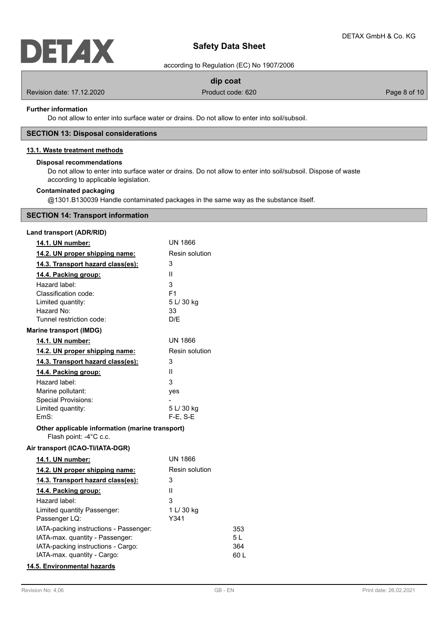

## **Safety Data Sheet**

according to Regulation (EC) No 1907/2006

## **dip coat**

Revision date: 17.12.2020 **Product code: 620** Product code: 620 **Page 8 of 10** Page 8 of 10

#### **Further information**

Do not allow to enter into surface water or drains. Do not allow to enter into soil/subsoil.

#### **SECTION 13: Disposal considerations**

#### **13.1. Waste treatment methods**

#### **Disposal recommendations**

Do not allow to enter into surface water or drains. Do not allow to enter into soil/subsoil. Dispose of waste according to applicable legislation.

#### **Contaminated packaging**

@1301.B130039 Handle contaminated packages in the same way as the substance itself.

#### **SECTION 14: Transport information**

| Land transport (ADR/RID) |  |
|--------------------------|--|
|--------------------------|--|

| 14.1. UN number:                                                          | UN 1866               |      |
|---------------------------------------------------------------------------|-----------------------|------|
| 14.2. UN proper shipping name:                                            | <b>Resin solution</b> |      |
| 14.3. Transport hazard class(es):                                         | 3                     |      |
| 14.4. Packing group:                                                      | Ш                     |      |
| Hazard label:                                                             | 3                     |      |
| Classification code:                                                      | F <sub>1</sub>        |      |
| Limited quantity:                                                         | 5 L/ 30 kg            |      |
| Hazard No:                                                                | 33                    |      |
| Tunnel restriction code:                                                  | D/E                   |      |
| <b>Marine transport (IMDG)</b>                                            |                       |      |
| 14.1. UN number:                                                          | <b>UN 1866</b>        |      |
| 14.2. UN proper shipping name:                                            | Resin solution        |      |
| 14.3. Transport hazard class(es):                                         | 3                     |      |
| 14.4. Packing group:                                                      | Ш                     |      |
| Hazard label:                                                             | 3                     |      |
| Marine pollutant:                                                         | yes                   |      |
| <b>Special Provisions:</b>                                                |                       |      |
| Limited quantity:                                                         | 5 L/ 30 kg            |      |
| EmS:                                                                      | F-E, S-E              |      |
| Other applicable information (marine transport)<br>Flash point: -4°C c.c. |                       |      |
| Air transport (ICAO-TI/IATA-DGR)                                          |                       |      |
| 14.1. UN number:                                                          | <b>UN 1866</b>        |      |
| 14.2. UN proper shipping name:                                            | Resin solution        |      |
| 14.3. Transport hazard class(es):                                         | 3                     |      |
| 14.4. Packing group:                                                      | Ш                     |      |
| Hazard label:                                                             | 3                     |      |
| Limited quantity Passenger:                                               | 1 L/ 30 kg            |      |
| Passenger LQ:                                                             | Y341                  |      |
| IATA-packing instructions - Passenger:                                    |                       | 353  |
| IATA-max. quantity - Passenger:                                           |                       | 5 L  |
| IATA-packing instructions - Cargo:                                        |                       | 364  |
| IATA-max. quantity - Cargo:                                               |                       | 60 L |
|                                                                           |                       |      |

## **14.5. Environmental hazards**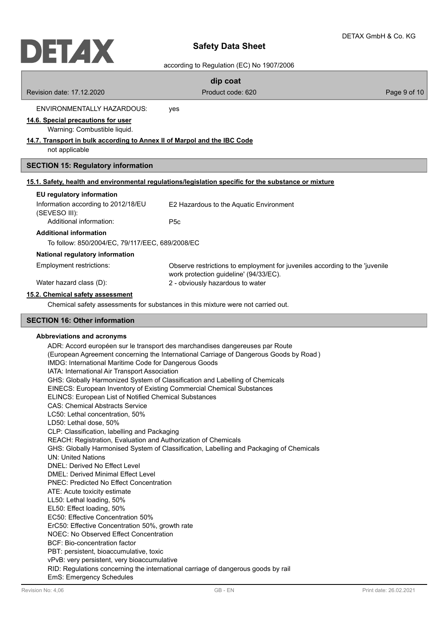## $\ddot{a}$

|                                                                                                                                                                                                                                                                                                                                                                                                                                                                                                                                                                                                                                                                                                                                                                                             | according to Regulation (EC) No 1907/2006                                                                                                                                                                                                                                                                                                        |              |
|---------------------------------------------------------------------------------------------------------------------------------------------------------------------------------------------------------------------------------------------------------------------------------------------------------------------------------------------------------------------------------------------------------------------------------------------------------------------------------------------------------------------------------------------------------------------------------------------------------------------------------------------------------------------------------------------------------------------------------------------------------------------------------------------|--------------------------------------------------------------------------------------------------------------------------------------------------------------------------------------------------------------------------------------------------------------------------------------------------------------------------------------------------|--------------|
|                                                                                                                                                                                                                                                                                                                                                                                                                                                                                                                                                                                                                                                                                                                                                                                             | dip coat                                                                                                                                                                                                                                                                                                                                         |              |
| Revision date: 17.12.2020                                                                                                                                                                                                                                                                                                                                                                                                                                                                                                                                                                                                                                                                                                                                                                   | Product code: 620                                                                                                                                                                                                                                                                                                                                | Page 9 of 10 |
| <b>ENVIRONMENTALLY HAZARDOUS:</b>                                                                                                                                                                                                                                                                                                                                                                                                                                                                                                                                                                                                                                                                                                                                                           | yes                                                                                                                                                                                                                                                                                                                                              |              |
| 14.6. Special precautions for user<br>Warning: Combustible liquid.                                                                                                                                                                                                                                                                                                                                                                                                                                                                                                                                                                                                                                                                                                                          |                                                                                                                                                                                                                                                                                                                                                  |              |
| 14.7. Transport in bulk according to Annex II of Marpol and the IBC Code<br>not applicable                                                                                                                                                                                                                                                                                                                                                                                                                                                                                                                                                                                                                                                                                                  |                                                                                                                                                                                                                                                                                                                                                  |              |
| <b>SECTION 15: Regulatory information</b>                                                                                                                                                                                                                                                                                                                                                                                                                                                                                                                                                                                                                                                                                                                                                   |                                                                                                                                                                                                                                                                                                                                                  |              |
|                                                                                                                                                                                                                                                                                                                                                                                                                                                                                                                                                                                                                                                                                                                                                                                             | 15.1. Safety, health and environmental regulations/legislation specific for the substance or mixture                                                                                                                                                                                                                                             |              |
| EU regulatory information                                                                                                                                                                                                                                                                                                                                                                                                                                                                                                                                                                                                                                                                                                                                                                   |                                                                                                                                                                                                                                                                                                                                                  |              |
| Information according to 2012/18/EU<br>(SEVESO III):                                                                                                                                                                                                                                                                                                                                                                                                                                                                                                                                                                                                                                                                                                                                        | E2 Hazardous to the Aquatic Environment                                                                                                                                                                                                                                                                                                          |              |
| Additional information:                                                                                                                                                                                                                                                                                                                                                                                                                                                                                                                                                                                                                                                                                                                                                                     | P <sub>5</sub> c                                                                                                                                                                                                                                                                                                                                 |              |
| <b>Additional information</b>                                                                                                                                                                                                                                                                                                                                                                                                                                                                                                                                                                                                                                                                                                                                                               |                                                                                                                                                                                                                                                                                                                                                  |              |
| To follow: 850/2004/EC, 79/117/EEC, 689/2008/EC                                                                                                                                                                                                                                                                                                                                                                                                                                                                                                                                                                                                                                                                                                                                             |                                                                                                                                                                                                                                                                                                                                                  |              |
| National regulatory information                                                                                                                                                                                                                                                                                                                                                                                                                                                                                                                                                                                                                                                                                                                                                             |                                                                                                                                                                                                                                                                                                                                                  |              |
| Employment restrictions:                                                                                                                                                                                                                                                                                                                                                                                                                                                                                                                                                                                                                                                                                                                                                                    | Observe restrictions to employment for juveniles according to the 'juvenile<br>work protection guideline' (94/33/EC).                                                                                                                                                                                                                            |              |
| Water hazard class (D):                                                                                                                                                                                                                                                                                                                                                                                                                                                                                                                                                                                                                                                                                                                                                                     | 2 - obviously hazardous to water                                                                                                                                                                                                                                                                                                                 |              |
| 15.2. Chemical safety assessment                                                                                                                                                                                                                                                                                                                                                                                                                                                                                                                                                                                                                                                                                                                                                            |                                                                                                                                                                                                                                                                                                                                                  |              |
|                                                                                                                                                                                                                                                                                                                                                                                                                                                                                                                                                                                                                                                                                                                                                                                             | Chemical safety assessments for substances in this mixture were not carried out.                                                                                                                                                                                                                                                                 |              |
| <b>SECTION 16: Other information</b>                                                                                                                                                                                                                                                                                                                                                                                                                                                                                                                                                                                                                                                                                                                                                        |                                                                                                                                                                                                                                                                                                                                                  |              |
| Abbreviations and acronyms<br>IMDG: International Maritime Code for Dangerous Goods<br>IATA: International Air Transport Association<br>EINECS: European Inventory of Existing Commercial Chemical Substances<br><b>ELINCS: European List of Notified Chemical Substances</b><br><b>CAS: Chemical Abstracts Service</b><br>LC50: Lethal concentration, 50%<br>LD50: Lethal dose, 50%<br>CLP: Classification, labelling and Packaging<br>REACH: Registration, Evaluation and Authorization of Chemicals<br><b>UN: United Nations</b><br>DNEL: Derived No Effect Level<br>DMEL: Derived Minimal Effect Level<br><b>PNEC: Predicted No Effect Concentration</b><br>ATE: Acute toxicity estimate<br>LL50: Lethal loading, 50%<br>EL50: Effect loading, 50%<br>EC50: Effective Concentration 50% | ADR: Accord européen sur le transport des marchandises dangereuses par Route<br>(European Agreement concerning the International Carriage of Dangerous Goods by Road)<br>GHS: Globally Harmonized System of Classification and Labelling of Chemicals<br>GHS: Globally Harmonised System of Classification, Labelling and Packaging of Chemicals |              |

ErC50: Effective Concentration 50%, growth rate

NOEC: No Observed Effect Concentration

BCF: Bio-concentration factor

PBT: persistent, bioaccumulative, toxic

vPvB: very persistent, very bioaccumulative

RID: Regulations concerning the international carriage of dangerous goods by rail EmS: Emergency Schedules